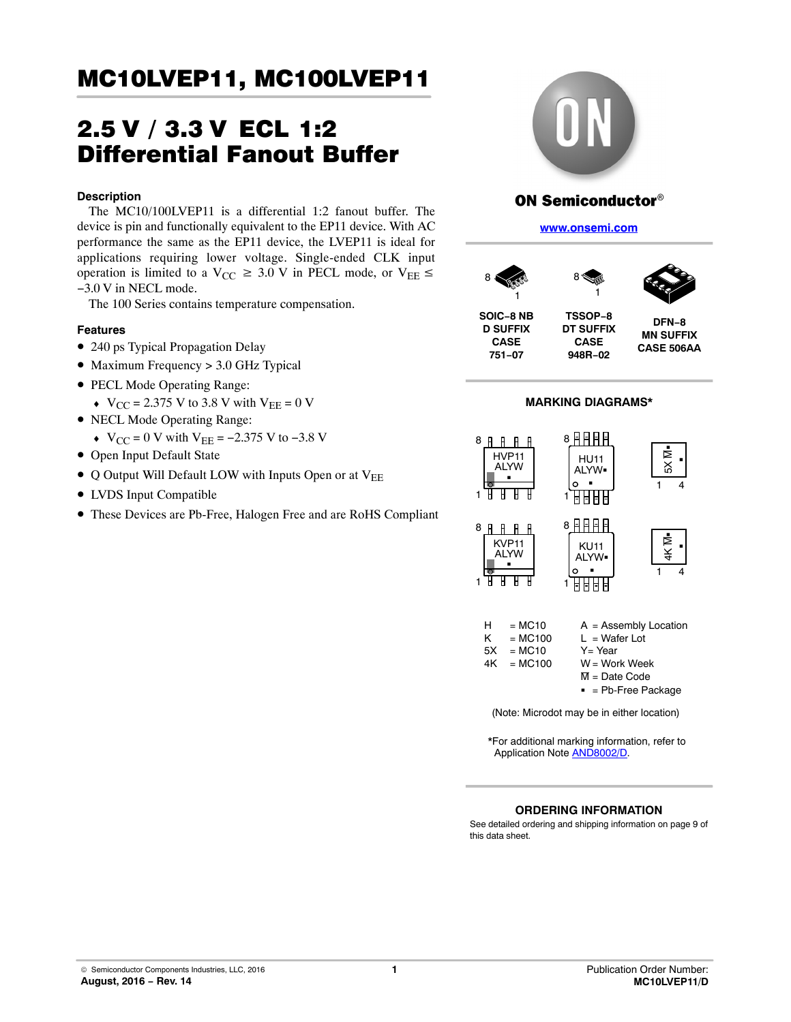# 2.5 V / 3.3 V ECL 1:2 Differential Fanout Buffer

### **Description**

The MC10/100LVEP11 is a differential 1:2 fanout buffer. The device is pin and functionally equivalent to the EP11 device. With AC performance the same as the EP11 device, the LVEP11 is ideal for applications requiring lower voltage. Single-ended CLK input operation is limited to a  $V_{CC} \ge 3.0$  V in PECL mode, or  $V_{EE} \le$ −3.0 V in NECL mode.

The 100 Series contains temperature compensation.

# **Features**

- 240 ps Typical Propagation Delay
- Maximum Frequency > 3.0 GHz Typical
- PECL Mode Operating Range:
	- $\bullet$  V<sub>CC</sub> = 2.375 V to 3.8 V with V<sub>EE</sub> = 0 V
- NECL Mode Operating Range:
	- $\bullet$  V<sub>CC</sub> = 0 V with V<sub>EE</sub> = -2.375 V to -3.8 V
- Open Input Default State
- Q Output Will Default LOW with Inputs Open or at VEE
- LVDS Input Compatible
- These Devices are Pb-Free, Halogen Free and are RoHS Compliant



# **ON Semiconductor®**

**[www.onsemi.com]( http://www.onsemi.com/)**



**CASE**

**SOIC−8 NB D SUFFIX CASE 751−07**

**DT SUFFIX 948R−02 DFN−8 MN SUFFIX CASE 506AA**



\*For additional marking information, refer to Application Note [AND8002/D.](http://www.onsemi.com/pub_link/Collateral/AND8002-D.PDF)

### **ORDERING INFORMATION**

See detailed ordering and shipping information on page [9](#page-8-0) of this data sheet.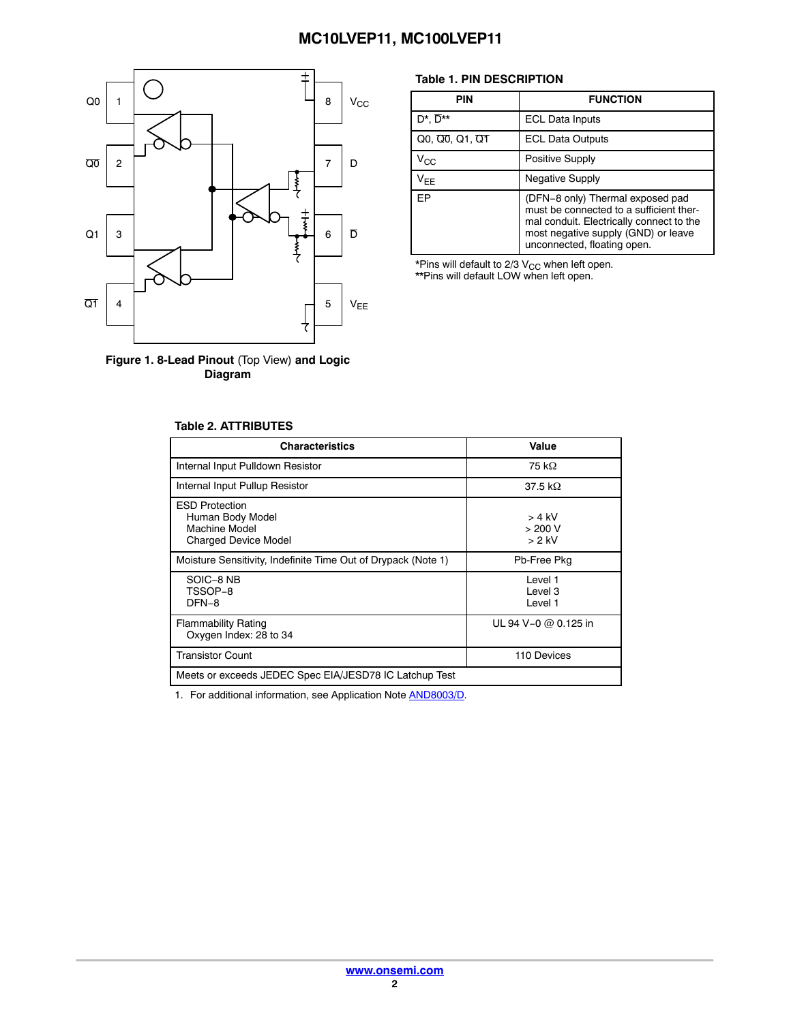

**Figure 1. 8-Lead Pinout** (Top View) **and Logic Diagram**

### **Table 1. PIN DESCRIPTION**

| <b>PIN</b>                  | <b>FUNCTION</b>                                                                                                                                                                               |
|-----------------------------|-----------------------------------------------------------------------------------------------------------------------------------------------------------------------------------------------|
| $D^*$ . $\overline{D}^{**}$ | <b>ECL Data Inputs</b>                                                                                                                                                                        |
| $Q0, Q0, Q1, Q1$            | <b>ECL Data Outputs</b>                                                                                                                                                                       |
| $\rm V_{CC}$                | Positive Supply                                                                                                                                                                               |
| $V_{EE}$                    | <b>Negative Supply</b>                                                                                                                                                                        |
| <b>FP</b>                   | (DFN-8 only) Thermal exposed pad<br>must be connected to a sufficient ther-<br>mal conduit. Electrically connect to the<br>most negative supply (GND) or leave<br>unconnected, floating open. |

\*Pins will default to 2/3 V<sub>CC</sub> when left open.<br>\*\*Pins will default LOW when left open.

| <b>Table 2. ATTRIBUTES</b> |  |  |  |
|----------------------------|--|--|--|
|                            |  |  |  |

| <b>Characteristics</b>                                                                    | Value                           |
|-------------------------------------------------------------------------------------------|---------------------------------|
| Internal Input Pulldown Resistor                                                          | 75 kΩ                           |
| Internal Input Pullup Resistor                                                            | 37.5 k $\Omega$                 |
| <b>ESD Protection</b><br>Human Body Model<br>Machine Model<br><b>Charged Device Model</b> | $> 4$ kV<br>> 200 V<br>$> 2$ kV |
| Moisture Sensitivity, Indefinite Time Out of Drypack (Note 1)                             | Pb-Free Pkg                     |
| SOIC-8 NB<br>TSSOP-8<br>DFN-8                                                             | Level 1<br>I evel 3<br>Level 1  |
| <b>Flammability Rating</b><br>Oxygen Index: 28 to 34                                      | UL 94 V-0 @ 0.125 in            |
| <b>Transistor Count</b>                                                                   | 110 Devices                     |
| Meets or exceeds JEDEC Spec EIA/JESD78 IC Latchup Test                                    |                                 |

1. For additional information, see Application Note **[AND8003/D](http://www.onsemi.com/pub_link/Collateral/AND8003-D.PDF)**.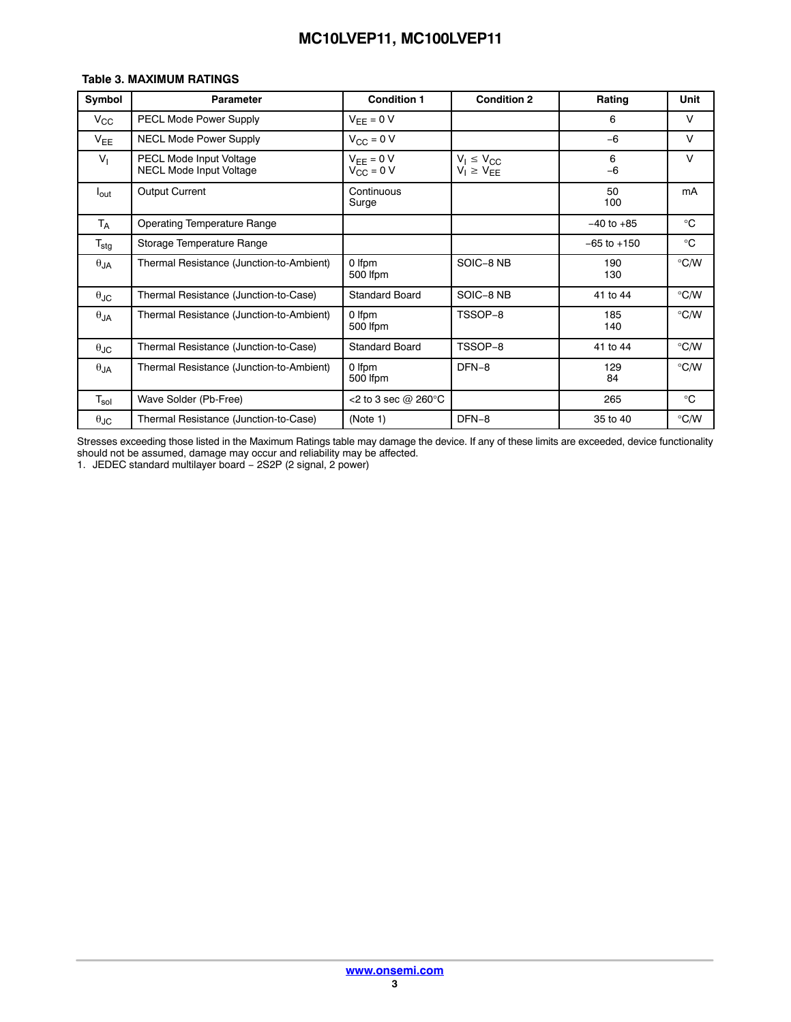### **Table 3. MAXIMUM RATINGS**

| Symbol                      | <b>Parameter</b>                                   | <b>Condition 1</b>                   | <b>Condition 2</b>                   | Rating          | Unit          |
|-----------------------------|----------------------------------------------------|--------------------------------------|--------------------------------------|-----------------|---------------|
| $V_{\rm CC}$                | PECL Mode Power Supply                             | $V_{FF} = 0 V$                       |                                      | 6               | $\vee$        |
| $V_{EE}$                    | <b>NECL Mode Power Supply</b>                      | $V_{CC} = 0 V$                       |                                      | $-6$            | $\vee$        |
| V <sub>1</sub>              | PECL Mode Input Voltage<br>NECL Mode Input Voltage | $V_{EE} = 0 V$<br>$V_{\rm CC} = 0$ V | $V_1 \le V_{CC}$<br>$V_1 \ge V_{EE}$ | 6<br>$-6$       | $\vee$        |
| $I_{\text{out}}$            | <b>Output Current</b>                              | Continuous<br>Surge                  |                                      | 50<br>100       | mA            |
| $T_A$                       | <b>Operating Temperature Range</b>                 |                                      |                                      | $-40$ to $+85$  | $^{\circ}C$   |
| $T_{\text{stg}}$            | Storage Temperature Range                          |                                      |                                      | $-65$ to $+150$ | $^{\circ}C$   |
| $\theta$ JA                 | Thermal Resistance (Junction-to-Ambient)           | 0 Ifpm<br>500 lfpm                   | SOIC-8 NB                            | 190<br>130      | $\degree$ C/W |
| $\theta_{\text{JC}}$        | Thermal Resistance (Junction-to-Case)              | <b>Standard Board</b>                | SOIC-8 NB                            | 41 to 44        | $\degree$ C/W |
| $\theta$ JA                 | Thermal Resistance (Junction-to-Ambient)           | 0 Ifpm<br>500 Ifpm                   | TSSOP-8                              | 185<br>140      | $\degree$ C/W |
| $\theta_{\text{JC}}$        | Thermal Resistance (Junction-to-Case)              | <b>Standard Board</b>                | TSSOP-8                              | 41 to 44        | $\degree$ C/W |
| $\theta$ JA                 | Thermal Resistance (Junction-to-Ambient)           | 0 Ifpm<br>500 Ifpm                   | DFN-8                                | 129<br>84       | $\degree$ C/W |
| $\mathsf{T}_{\mathsf{sol}}$ | Wave Solder (Pb-Free)                              | <2 to 3 sec $@$ 260 $°C$             |                                      | 265             | $^{\circ}C$   |
| $\theta$ JC                 | Thermal Resistance (Junction-to-Case)              | (Note 1)                             | DFN-8                                | 35 to 40        | $\degree$ C/W |

Stresses exceeding those listed in the Maximum Ratings table may damage the device. If any of these limits are exceeded, device functionality should not be assumed, damage may occur and reliability may be affected.

1. JEDEC standard multilayer board − 2S2P (2 signal, 2 power)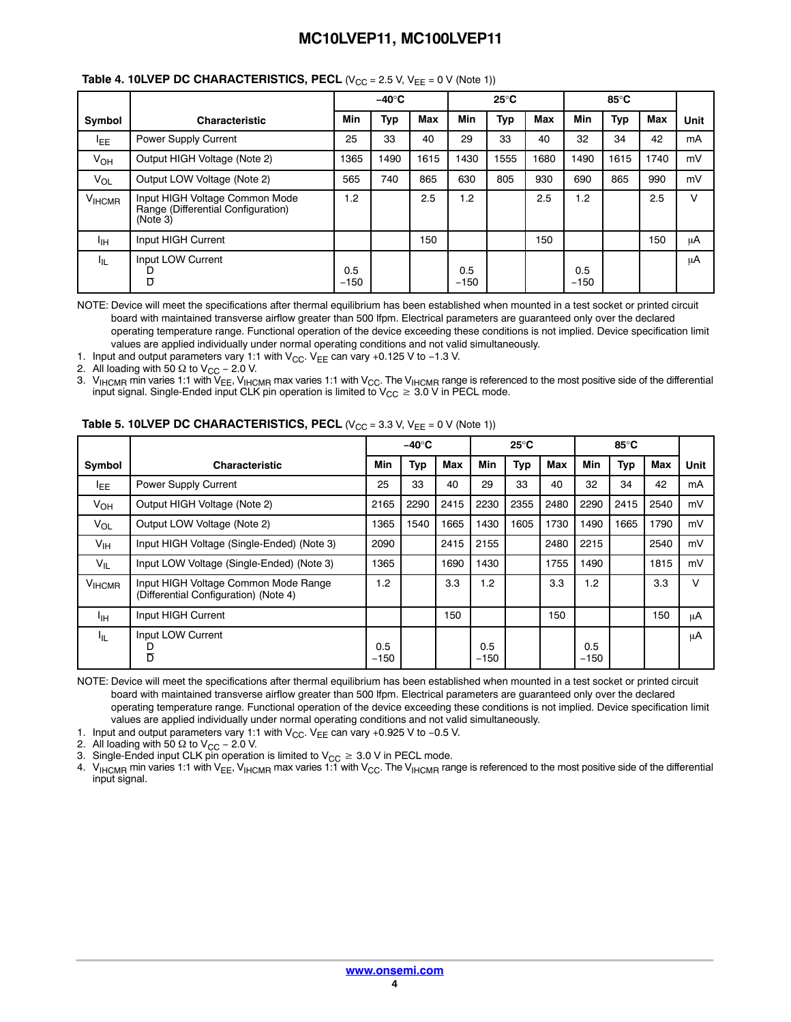|                   |                                                                                  |               | $-40^\circ C$ |      |               | $25^{\circ}$ C |            |               | 85°C |            |        |
|-------------------|----------------------------------------------------------------------------------|---------------|---------------|------|---------------|----------------|------------|---------------|------|------------|--------|
| Symbol            | <b>Characteristic</b>                                                            | Min           | <b>Typ</b>    | Max  | Min           | Typ            | <b>Max</b> | Min           | Typ  | <b>Max</b> | Unit   |
| <b>LEE</b>        | Power Supply Current                                                             | 25            | 33            | 40   | 29            | 33             | 40         | 32            | 34   | 42         | mA     |
| $V_{OH}$          | Output HIGH Voltage (Note 2)                                                     | 1365          | 1490          | 1615 | 1430          | 1555           | 1680       | 1490          | 1615 | 1740       | mV     |
| $V_{OL}$          | Output LOW Voltage (Note 2)                                                      | 565           | 740           | 865  | 630           | 805            | 930        | 690           | 865  | 990        | mV     |
| V <sub>HCMR</sub> | Input HIGH Voltage Common Mode<br>Range (Differential Configuration)<br>(Note 3) | 1.2           |               | 2.5  | 1.2           |                | 2.5        | 1.2           |      | 2.5        | $\vee$ |
| Iін               | Input HIGH Current                                                               |               |               | 150  |               |                | 150        |               |      | 150        | μA     |
| կե                | Input LOW Current<br>D<br>$\overline{D}$                                         | 0.5<br>$-150$ |               |      | 0.5<br>$-150$ |                |            | 0.5<br>$-150$ |      |            | μA     |

# **Table 4. 10LVEP DC CHARACTERISTICS, PECL (V<sub>CC</sub> = 2.5 V, V<sub>EE</sub> = 0 V (Note 1))**

NOTE: Device will meet the specifications after thermal equilibrium has been established when mounted in a test socket or printed circuit board with maintained transverse airflow greater than 500 lfpm. Electrical parameters are guaranteed only over the declared operating temperature range. Functional operation of the device exceeding these conditions is not implied. Device specification limit values are applied individually under normal operating conditions and not valid simultaneously.

1. Input and output parameters vary 1:1 with V<sub>CC</sub>. V<sub>EE</sub> can vary +0.125 V to −1.3 V.

2. All loading with 50  $\Omega$  to V<sub>CC</sub> – 2.0 V.

3.  $\rm V_{HCMR}$  min varies 1:1 with V<sub>EE</sub>, V<sub>IHCMR</sub> max varies 1:1 with V<sub>CC</sub>. The V<sub>IHCMR</sub> range is referenced to the most positive side of the differential input signal. Single-Ended input CLK pin operation is limited to  $\rm V_{CC}\geq\rm 3.0$  V in PECL mode.

|                 |                                                                               |               | –40°C |      |               | $25^{\circ}$ C |            |               | 85°C |            |      |
|-----------------|-------------------------------------------------------------------------------|---------------|-------|------|---------------|----------------|------------|---------------|------|------------|------|
| Symbol          | <b>Characteristic</b>                                                         | Min           | Typ   | Max  | <b>Min</b>    | Typ            | <b>Max</b> | Min           | Typ  | <b>Max</b> | Unit |
| <b>IEE</b>      | Power Supply Current                                                          | 25            | 33    | 40   | 29            | 33             | 40         | 32            | 34   | 42         | mA   |
| $V_{OH}$        | Output HIGH Voltage (Note 2)                                                  | 2165          | 2290  | 2415 | 2230          | 2355           | 2480       | 2290          | 2415 | 2540       | mV   |
| $V_{OL}$        | Output LOW Voltage (Note 2)                                                   | 1365          | 1540  | 1665 | 1430          | 1605           | 1730       | 1490          | 1665 | 1790       | mV   |
| $V_{\text{IH}}$ | Input HIGH Voltage (Single-Ended) (Note 3)                                    | 2090          |       | 2415 | 2155          |                | 2480       | 2215          |      | 2540       | mV   |
| $V_{IL}$        | Input LOW Voltage (Single-Ended) (Note 3)                                     | 1365          |       | 1690 | 1430          |                | 1755       | 1490          |      | 1815       | mV   |
| $V_{\sf IHCMR}$ | Input HIGH Voltage Common Mode Range<br>(Differential Configuration) (Note 4) | 1.2           |       | 3.3  | 1.2           |                | 3.3        | 1.2           |      | 3.3        | V    |
| Iін             | Input HIGH Current                                                            |               |       | 150  |               |                | 150        |               |      | 150        | μA   |
| կե              | Input LOW Current<br>D<br>D                                                   | 0.5<br>$-150$ |       |      | 0.5<br>$-150$ |                |            | 0.5<br>$-150$ |      |            | μA   |

NOTE: Device will meet the specifications after thermal equilibrium has been established when mounted in a test socket or printed circuit board with maintained transverse airflow greater than 500 lfpm. Electrical parameters are guaranteed only over the declared operating temperature range. Functional operation of the device exceeding these conditions is not implied. Device specification limit values are applied individually under normal operating conditions and not valid simultaneously.

1. Input and output parameters vary 1:1 with V<sub>CC</sub>. V<sub>EE</sub> can vary +0.925 V to -0.5 V.

2. All loading with 50  $\Omega$  to V<sub>CC</sub> – 2.0 V.

3. Single-Ended input CLK pin operation is limited to  $\rm V_{CC}\geq 3.0$  V in PECL mode.

4. V<sub>IHCMR</sub> min varies 1:1 with V<sub>EE</sub>, V<sub>IHCMR</sub> max varies 1:1 with V<sub>CC</sub>. The V<sub>IHCMR</sub> range is referenced to the most positive side of the differential input signal.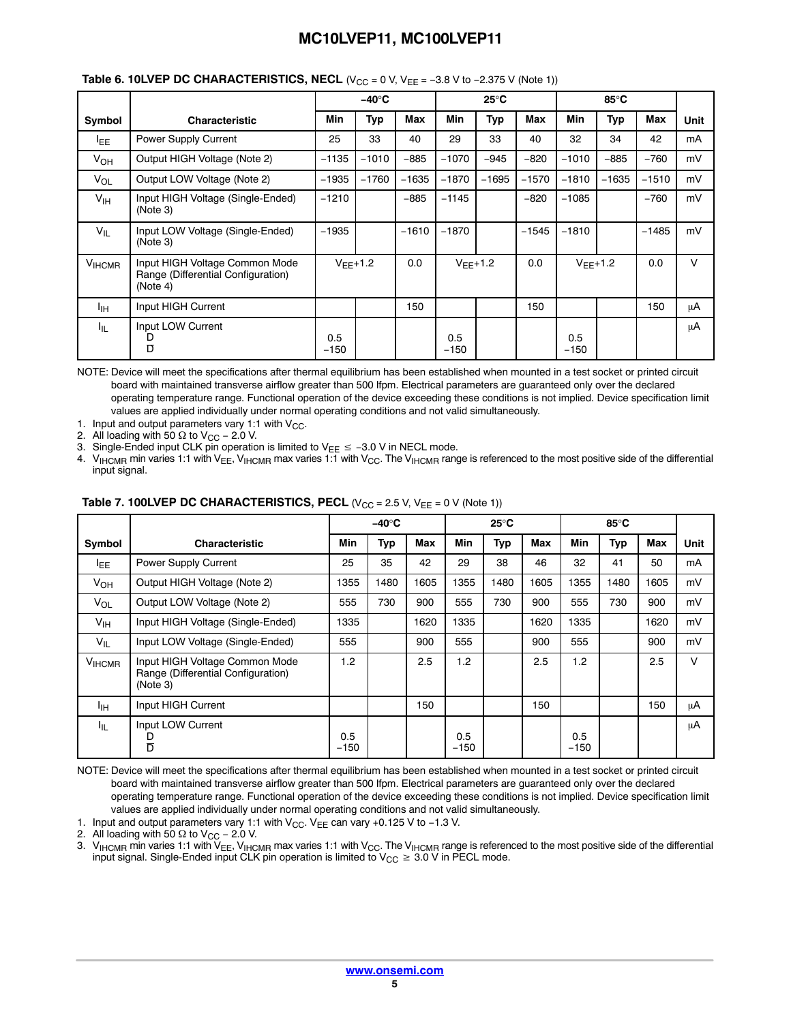|                 |                                                                                  |               | $-40^\circ C$ |         |               | $25^{\circ}$ C |         |               | 85°C         |         |        |
|-----------------|----------------------------------------------------------------------------------|---------------|---------------|---------|---------------|----------------|---------|---------------|--------------|---------|--------|
| Symbol          | <b>Characteristic</b>                                                            | Min           | Typ           | Max     | <b>Min</b>    | <b>Typ</b>     | Max     | Min           | <b>Typ</b>   | Max     | Unit   |
| <b>LEE</b>      | Power Supply Current                                                             | 25            | 33            | 40      | 29            | 33             | 40      | 32            | 34           | 42      | mA     |
| $V_{OH}$        | Output HIGH Voltage (Note 2)                                                     | $-1135$       | $-1010$       | $-885$  | $-1070$       | $-945$         | $-820$  | $-1010$       | $-885$       | $-760$  | mV     |
| $V_{OL}$        | Output LOW Voltage (Note 2)                                                      | $-1935$       | $-1760$       | $-1635$ | $-1870$       | $-1695$        | $-1570$ | $-1810$       | $-1635$      | $-1510$ | mV     |
| $V_{\text{IH}}$ | Input HIGH Voltage (Single-Ended)<br>(Note 3)                                    | $-1210$       |               | $-885$  | $-1145$       |                | $-820$  | $-1085$       |              | $-760$  | mV     |
| $V_{IL}$        | Input LOW Voltage (Single-Ended)<br>(Note 3)                                     | $-1935$       |               | $-1610$ | $-1870$       |                | $-1545$ | $-1810$       |              | $-1485$ | mV     |
| <b>VIHCMR</b>   | Input HIGH Voltage Common Mode<br>Range (Differential Configuration)<br>(Note 4) | $V_{FF}$ +1.2 |               | 0.0     |               | $V_{FF}+1.2$   | 0.0     |               | $V_{FF}+1.2$ | 0.0     | $\vee$ |
| Iін             | Input HIGH Current                                                               |               |               | 150     |               |                | 150     |               |              | 150     | μA     |
| կլ              | Input LOW Current<br>D<br>$\overline{D}$                                         | 0.5<br>$-150$ |               |         | 0.5<br>$-150$ |                |         | 0.5<br>$-150$ |              |         | μA     |

## **Table 6. 10LVEP DC CHARACTERISTICS, NECL (V<sub>CC</sub> = 0 V, V<sub>EE</sub> = -3.8 V to -2.375 V (Note 1))**

NOTE: Device will meet the specifications after thermal equilibrium has been established when mounted in a test socket or printed circuit board with maintained transverse airflow greater than 500 lfpm. Electrical parameters are guaranteed only over the declared operating temperature range. Functional operation of the device exceeding these conditions is not implied. Device specification limit values are applied individually under normal operating conditions and not valid simultaneously.

1. Input and output parameters vary 1:1 with  $V_{CC}$ .

2.  $\,$  All loading with 50  $\Omega$  to V $_{\rm CC}$  – 2.0 V.

3. Single-Ended input CLK pin operation is limited to V<sub>EE</sub> ≤ -3.0 V in NECL mode.

4.  $\rm V_{HCMR}$  min varies 1:1 with V<sub>EE</sub>, V<sub>IHCMR</sub> max varies 1:1 with V<sub>CC</sub>. The V<sub>IHCMR</sub> range is referenced to the most positive side of the differential input signal.

|                       |                                                                                  |               | $-40^\circ C$ |      |               | $25^{\circ}$ C |            |               | 85°C |            |        |
|-----------------------|----------------------------------------------------------------------------------|---------------|---------------|------|---------------|----------------|------------|---------------|------|------------|--------|
| Symbol                | <b>Characteristic</b>                                                            | Min           | Typ           | Max  | <b>Min</b>    | Typ            | <b>Max</b> | Min           | Тур  | <b>Max</b> | Unit   |
| <sup>I</sup> EE       | <b>Power Supply Current</b>                                                      | 25            | 35            | 42   | 29            | 38             | 46         | 32            | 41   | 50         | mA     |
| <b>V<sub>OH</sub></b> | Output HIGH Voltage (Note 2)                                                     | 1355          | 1480          | 1605 | 1355          | 1480           | 1605       | 1355          | 1480 | 1605       | mV     |
| $V_{OL}$              | Output LOW Voltage (Note 2)                                                      | 555           | 730           | 900  | 555           | 730            | 900        | 555           | 730  | 900        | mV     |
| $V_{\text{IH}}$       | Input HIGH Voltage (Single-Ended)                                                | 1335          |               | 1620 | 1335          |                | 1620       | 1335          |      | 1620       | mV     |
| $V_{IL}$              | Input LOW Voltage (Single-Ended)                                                 | 555           |               | 900  | 555           |                | 900        | 555           |      | 900        | mV     |
| V <sub>HCMR</sub>     | Input HIGH Voltage Common Mode<br>Range (Differential Configuration)<br>(Note 3) | 1.2           |               | 2.5  | 1.2           |                | 2.5        | 1.2           |      | 2.5        | $\vee$ |
| Īн                    | Input HIGH Current                                                               |               |               | 150  |               |                | 150        |               |      | 150        | μA     |
| ЧL.                   | Input LOW Current<br>D<br>$\overline{\mathsf{D}}$                                | 0.5<br>$-150$ |               |      | 0.5<br>$-150$ |                |            | 0.5<br>$-150$ |      |            | μA     |

#### **Table 7. 100LVEP DC CHARACTERISTICS, PECL**  $(V_{CC} = 2.5 V, V_{EE} = 0 V (Note 1))$

NOTE: Device will meet the specifications after thermal equilibrium has been established when mounted in a test socket or printed circuit board with maintained transverse airflow greater than 500 lfpm. Electrical parameters are guaranteed only over the declared operating temperature range. Functional operation of the device exceeding these conditions is not implied. Device specification limit values are applied individually under normal operating conditions and not valid simultaneously.

1. Input and output parameters vary 1:1 with V<sub>CC</sub>. V<sub>EE</sub> can vary +0.125 V to −1.3 V.

2.  $\,$  All loading with 50  $\Omega$  to V $_{\rm CC}$  – 2.0 V.

3.  $\rm V_{HCMR}$  min varies 1:1 with V<sub>EE</sub>, V<sub>IHCMR</sub> max varies 1:1 with V<sub>CC</sub>. The V<sub>IHCMR</sub> range is referenced to the most positive side of the differential input signal. Single-Ended input CLK pin operation is limited to  $\rm V_{CC}\geq\rm 3.0$  V in PECL mode.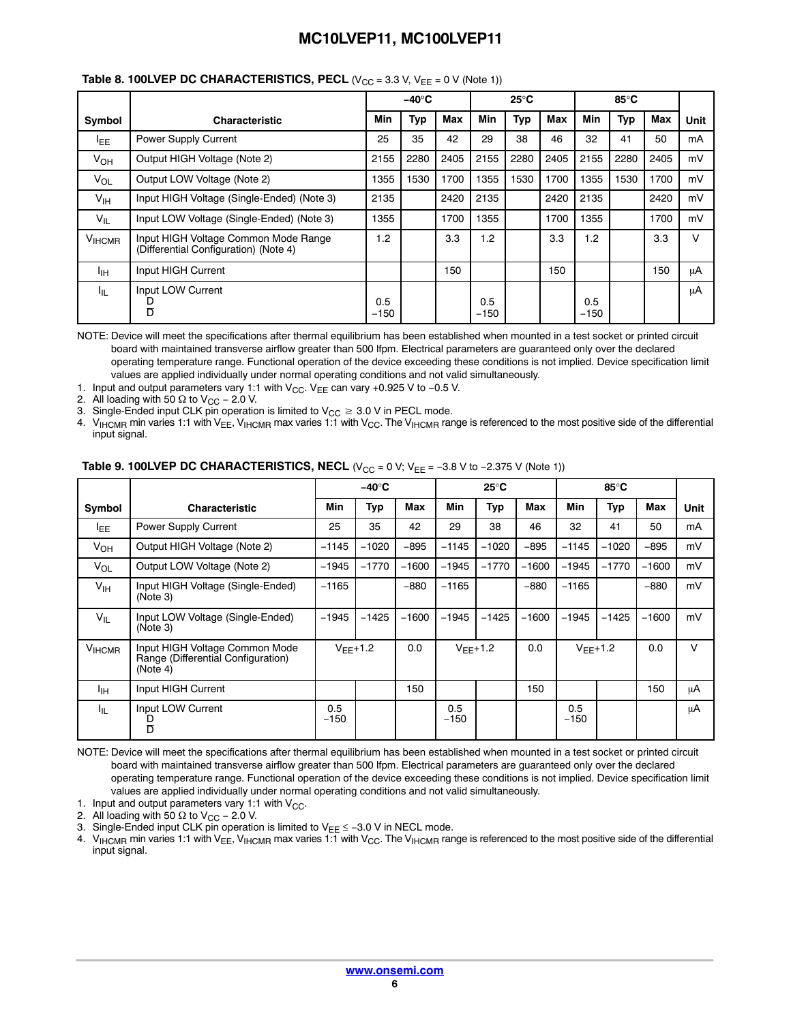|                 |                                                                               |               | $-40^\circ C$ |      |               | $25^{\circ}$ C |      |               |      |      |        |
|-----------------|-------------------------------------------------------------------------------|---------------|---------------|------|---------------|----------------|------|---------------|------|------|--------|
| Symbol          | <b>Characteristic</b>                                                         | Min           | Typ           | Max  | Min           | Typ            | Max  | Min           | Typ  | Max  | Unit   |
| <b>LEE</b>      | Power Supply Current                                                          | 25            | 35            | 42   | 29            | 38             | 46   | 32            | 41   | 50   | mA     |
| $V_{OH}$        | Output HIGH Voltage (Note 2)                                                  | 2155          | 2280          | 2405 | 2155          | 2280           | 2405 | 2155          | 2280 | 2405 | mV     |
| $V_{OL}$        | Output LOW Voltage (Note 2)                                                   | 1355          | 1530          | 1700 | 1355          | 1530           | 1700 | 1355          | 1530 | 1700 | mV     |
| $V_{\text{IH}}$ | Input HIGH Voltage (Single-Ended) (Note 3)                                    | 2135          |               | 2420 | 2135          |                | 2420 | 2135          |      | 2420 | mV     |
| $V_{IL}$        | Input LOW Voltage (Single-Ended) (Note 3)                                     | 1355          |               | 1700 | 1355          |                | 1700 | 1355          |      | 1700 | mV     |
| <b>VIHCMR</b>   | Input HIGH Voltage Common Mode Range<br>(Differential Configuration) (Note 4) | 1.2           |               | 3.3  | 1.2           |                | 3.3  | 1.2           |      | 3.3  | $\vee$ |
| Iін             | Input HIGH Current                                                            |               |               | 150  |               |                | 150  |               |      | 150  | μA     |
| կե              | Input LOW Current<br>D<br>$\overline{D}$                                      | 0.5<br>$-150$ |               |      | 0.5<br>$-150$ |                |      | 0.5<br>$-150$ |      |      | μA     |

#### **Table 8. 100LVEP DC CHARACTERISTICS, PECL** ( $V_{CC}$  = 3.3 V,  $V_{EE}$  = 0 V (Note 1))

NOTE: Device will meet the specifications after thermal equilibrium has been established when mounted in a test socket or printed circuit board with maintained transverse airflow greater than 500 lfpm. Electrical parameters are guaranteed only over the declared operating temperature range. Functional operation of the device exceeding these conditions is not implied. Device specification limit values are applied individually under normal operating conditions and not valid simultaneously.

1. Input and output parameters vary 1:1 with V<sub>CC</sub>. V<sub>EE</sub> can vary +0.925 V to -0.5 V.

2. All loading with 50  $\Omega$  to V<sub>CC</sub> – 2.0 V.

3. Single-Ended input CLK pin operation is limited to  $\rm V_{CC}\geq 3.0$  V in PECL mode.

4. VIHCMR min varies 1:1 with V<sub>EE</sub>, V<sub>IHCMR</sub> max varies 1:1 with V<sub>CC</sub>. The V<sub>IHCMR</sub> range is referenced to the most positive side of the differential input signal.

|                 |                                                                                  |               | $-40^\circ C$ |         |               | $25^{\circ}$ C |         |               | 85°C          |         |        |
|-----------------|----------------------------------------------------------------------------------|---------------|---------------|---------|---------------|----------------|---------|---------------|---------------|---------|--------|
| Symbol          | <b>Characteristic</b>                                                            | Min           | Typ           | Max     | Min           | Typ            | Max     | Min           | Typ           | Max     | Unit   |
| <sup>I</sup> EE | Power Supply Current                                                             | 25            | 35            | 42      | 29            | 38             | 46      | 32            | 41            | 50      | mA     |
| $V_{OH}$        | Output HIGH Voltage (Note 2)                                                     | $-1145$       | $-1020$       | $-895$  | $-1145$       | $-1020$        | $-895$  | $-1145$       | $-1020$       | $-895$  | mV     |
| $V_{OL}$        | Output LOW Voltage (Note 2)                                                      | $-1945$       | $-1770$       | $-1600$ | $-1945$       | $-1770$        | $-1600$ | $-1945$       | $-1770$       | $-1600$ | mV     |
| $V_{\text{IH}}$ | Input HIGH Voltage (Single-Ended)<br>(Note 3)                                    | $-1165$       |               | $-880$  | $-1165$       |                | $-880$  | $-1165$       |               | $-880$  | mV     |
| $V_{IL}$        | Input LOW Voltage (Single-Ended)<br>(Note 3)                                     | $-1945$       | $-1425$       | $-1600$ | $-1945$       | $-1425$        | $-1600$ | $-1945$       | $-1425$       | $-1600$ | mV     |
| <b>VIHCMR</b>   | Input HIGH Voltage Common Mode<br>Range (Differential Configuration)<br>(Note 4) |               | $V_{FF}+1.2$  | 0.0     |               | $V_{FF}+1.2$   | 0.0     |               | $V_{FF}$ +1.2 | 0.0     | $\vee$ |
| ŀщ              | Input HIGH Current                                                               |               |               | 150     |               |                | 150     |               |               | 150     | μA     |
| հե              | Input LOW Current<br>υ<br>Ď                                                      | 0.5<br>$-150$ |               |         | 0.5<br>$-150$ |                |         | 0.5<br>$-150$ |               |         | μA     |

### **Table 9. 100LVEP DC CHARACTERISTICS, NECL (V<sub>CC</sub> = 0 V; V<sub>EE</sub> = -3.8 V to -2.375 V (Note 1))**

NOTE: Device will meet the specifications after thermal equilibrium has been established when mounted in a test socket or printed circuit board with maintained transverse airflow greater than 500 lfpm. Electrical parameters are guaranteed only over the declared operating temperature range. Functional operation of the device exceeding these conditions is not implied. Device specification limit values are applied individually under normal operating conditions and not valid simultaneously.

1. Input and output parameters vary 1:1 with  $V_{CC}$ .

2. All loading with 50  $\Omega$  to V<sub>CC</sub> – 2.0 V.

3. Single-Ended input CLK pin operation is limited to  $V_{EE}$  ≤ -3.0 V in NECL mode.

4. V<sub>IHCMR</sub> min varies 1:1 with V<sub>EE</sub>, V<sub>IHCMR</sub> max varies 1:1 with V<sub>CC</sub>. The V<sub>IHCMR</sub> range is referenced to the most positive side of the differential input signal.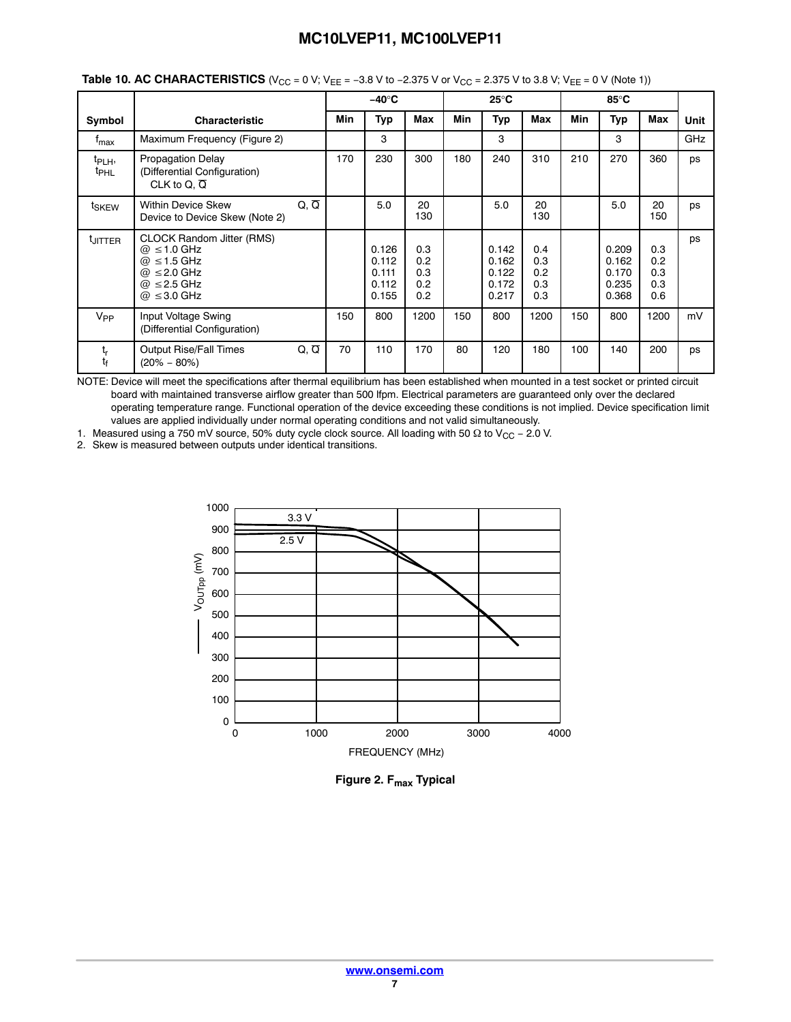|                                        |                                                                                                                                                |                   |     | $-40^\circ C$                             |                                              |            | $25^{\circ}$ C                            |                                 |     | 85°C                                      |                                 |      |
|----------------------------------------|------------------------------------------------------------------------------------------------------------------------------------------------|-------------------|-----|-------------------------------------------|----------------------------------------------|------------|-------------------------------------------|---------------------------------|-----|-------------------------------------------|---------------------------------|------|
| Symbol                                 | <b>Characteristic</b>                                                                                                                          |                   | Min | Typ                                       | Max                                          | <b>Min</b> | <b>Typ</b>                                | Max                             | Min | Typ                                       | <b>Max</b>                      | Unit |
| $t_{\sf max}$                          | Maximum Frequency (Figure 2)                                                                                                                   |                   |     | 3                                         |                                              |            | 3                                         |                                 |     | 3                                         |                                 | GHz  |
| t <sub>PLH</sub> ,<br>t <sub>PHL</sub> | <b>Propagation Delay</b><br>(Differential Configuration)<br>CLK to Q, $\overline{Q}$                                                           |                   | 170 | 230                                       | 300                                          | 180        | 240                                       | 310                             | 210 | 270                                       | 360                             | ps   |
| t <sub>SKEW</sub>                      | <b>Within Device Skew</b><br>Device to Device Skew (Note 2)                                                                                    | $Q, \overline{Q}$ |     | 5.0                                       | 20<br>130                                    |            | 5.0                                       | 20<br>130                       |     | 5.0                                       | 20<br>150                       | ps   |
| <sup>t</sup> JITTER                    | <b>CLOCK Random Jitter (RMS)</b><br>$@ \leq 1.0$ GHz<br>$\omega \leq 1.5$ GHz<br>$@ \leq 2.0$ GHz<br>$\omega \leq 2.5$ GHz<br>$@ \leq 3.0$ GHz |                   |     | 0.126<br>0.112<br>0.111<br>0.112<br>0.155 | 0.3<br>0.2<br>0.3<br>0.2<br>0.2 <sub>0</sub> |            | 0.142<br>0.162<br>0.122<br>0.172<br>0.217 | 0.4<br>0.3<br>0.2<br>0.3<br>0.3 |     | 0.209<br>0.162<br>0.170<br>0.235<br>0.368 | 0.3<br>0.2<br>0.3<br>0.3<br>0.6 | ps   |
| $V_{PP}$                               | Input Voltage Swing<br>(Differential Configuration)                                                                                            |                   | 150 | 800                                       | 1200                                         | 150        | 800                                       | 1200                            | 150 | 800                                       | 1200                            | mV   |
| t,<br>t <sub>f</sub>                   | <b>Output Rise/Fall Times</b><br>$(20\% - 80\%)$                                                                                               | $Q, \overline{Q}$ | 70  | 110                                       | 170                                          | 80         | 120                                       | 180                             | 100 | 140                                       | 200                             | ps   |

| <b>Table 10. AC CHARACTERISTICS</b> (V <sub>CC</sub> = 0 V; V <sub>EE</sub> = –3.8 V to –2.375 V or V <sub>CC</sub> = 2.375 V to 3.8 V; V <sub>EE</sub> = 0 V (Note 1)) |  |
|-------------------------------------------------------------------------------------------------------------------------------------------------------------------------|--|
|-------------------------------------------------------------------------------------------------------------------------------------------------------------------------|--|

NOTE: Device will meet the specifications after thermal equilibrium has been established when mounted in a test socket or printed circuit board with maintained transverse airflow greater than 500 lfpm. Electrical parameters are guaranteed only over the declared operating temperature range. Functional operation of the device exceeding these conditions is not implied. Device specification limit values are applied individually under normal operating conditions and not valid simultaneously.

1. Measured using a 750 mV source, 50% duty cycle clock source. All loading with 50 Ω to V<sub>CC</sub> – 2.0 V.

2. Skew is measured between outputs under identical transitions.



**Figure 2. F<sub>max</sub> Typical**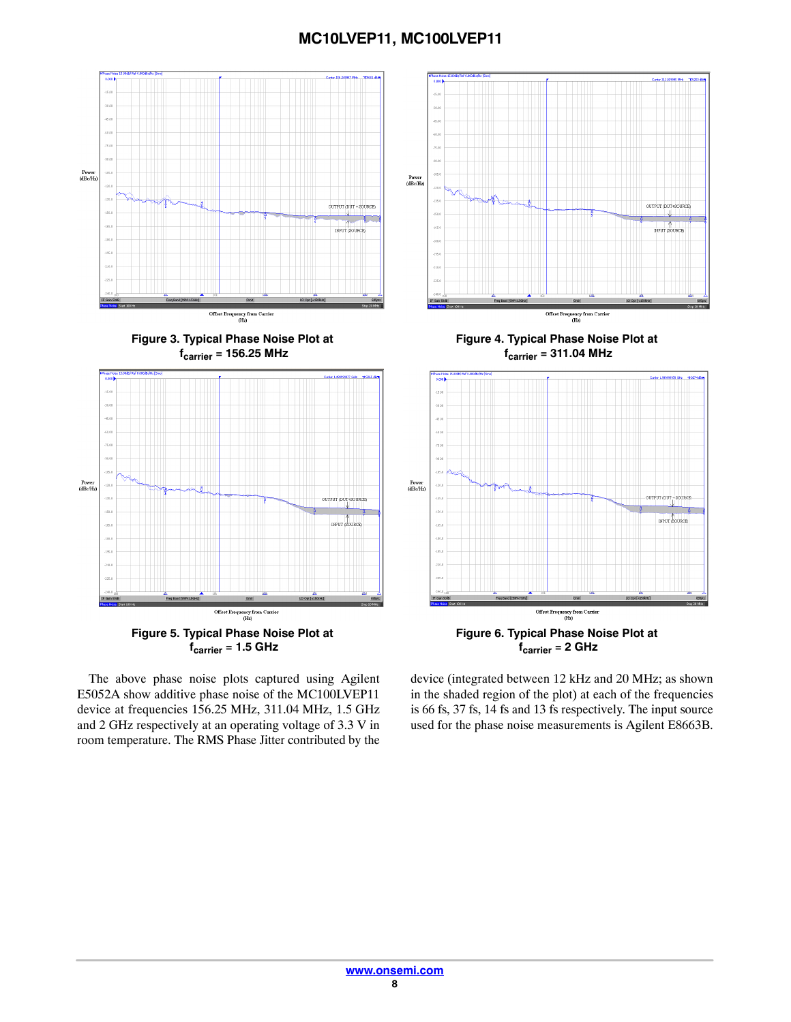

The above phase noise plots captured using Agilent E5052A show additive phase noise of the MC100LVEP11 device at frequencies 156.25 MHz, 311.04 MHz, 1.5 GHz and 2 GHz respectively at an operating voltage of 3.3 V in room temperature. The RMS Phase Jitter contributed by the

device (integrated between 12 kHz and 20 MHz; as shown in the shaded region of the plot) at each of the frequencies is 66 fs, 37 fs, 14 fs and 13 fs respectively. The input source used for the phase noise measurements is Agilent E8663B.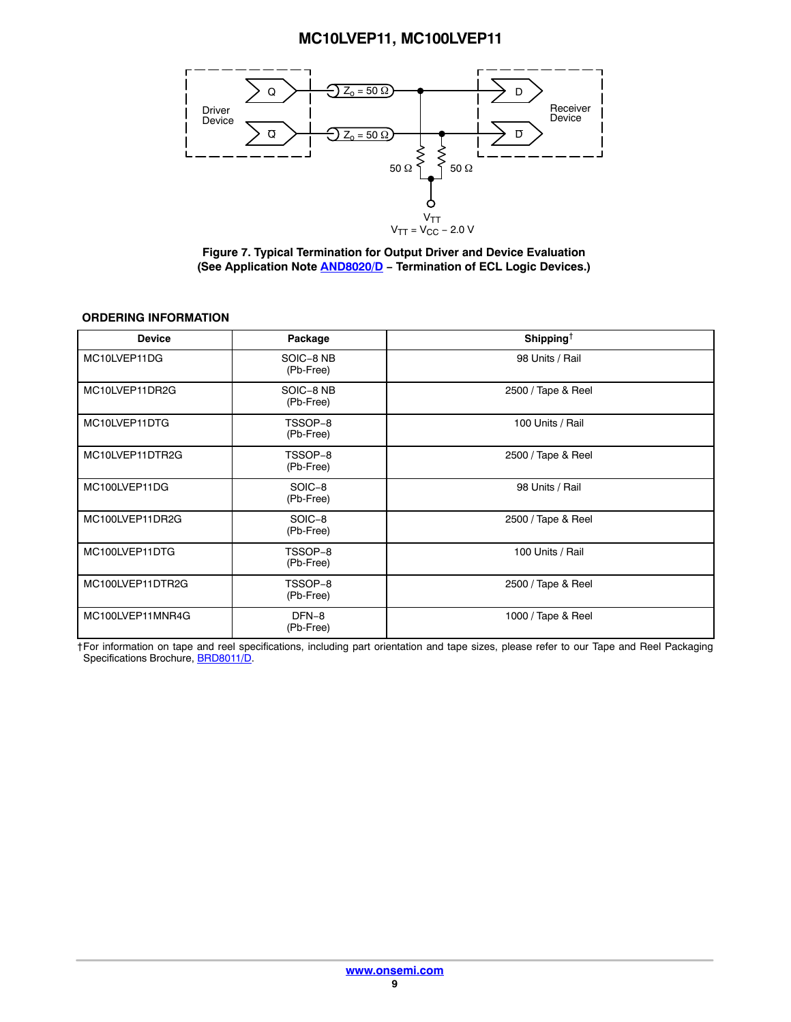<span id="page-8-0"></span>

**Figure 7. Typical Termination for Output Driver and Device Evaluation (See Application Note [AND8020/D](http://www.onsemi.com/pub_link/Collateral/AND8020-D.PDF) − Termination of ECL Logic Devices.)**

### **ORDERING INFORMATION**

| <b>Device</b>    | Package                | Shipping <sup><math>\dagger</math></sup> |
|------------------|------------------------|------------------------------------------|
| MC10LVEP11DG     | SOIC-8 NB<br>(Pb-Free) | 98 Units / Rail                          |
| MC10LVEP11DR2G   | SOIC-8 NB<br>(Pb-Free) | 2500 / Tape & Reel                       |
| MC10LVEP11DTG    | TSSOP-8<br>(Pb-Free)   | 100 Units / Rail                         |
| MC10LVEP11DTR2G  | TSSOP-8<br>(Pb-Free)   | 2500 / Tape & Reel                       |
| MC100LVEP11DG    | SOIC-8<br>(Pb-Free)    | 98 Units / Rail                          |
| MC100LVEP11DR2G  | SOIC-8<br>(Pb-Free)    | 2500 / Tape & Reel                       |
| MC100LVEP11DTG   | TSSOP-8<br>(Pb-Free)   | 100 Units / Rail                         |
| MC100LVEP11DTR2G | TSSOP-8<br>(Pb-Free)   | 2500 / Tape & Reel                       |
| MC100LVEP11MNR4G | DFN-8<br>(Pb-Free)     | 1000 / Tape & Reel                       |

†For information on tape and reel specifications, including part orientation and tape sizes, please refer to our Tape and Reel Packaging Specifications Brochure, [BRD8011/D.](http://www.onsemi.com/pub_link/Collateral/BRD8011-D.PDF)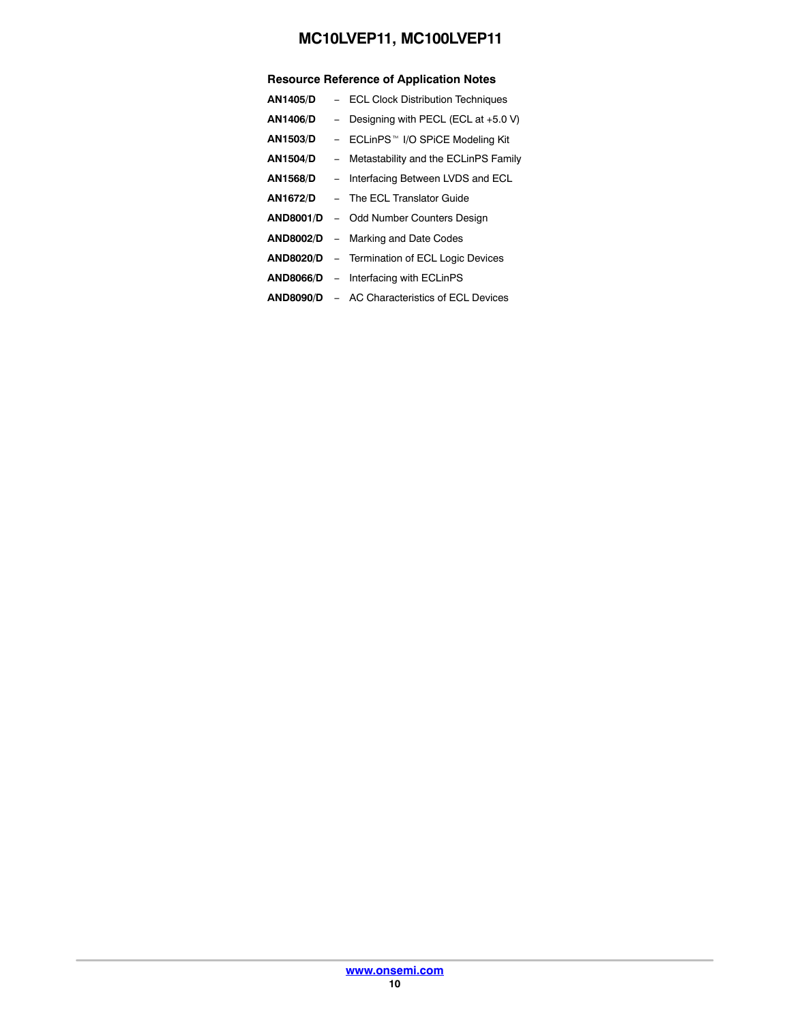## **Resource Reference of Application Notes**

| <b>AN1405/D</b>  | - ECL Clock Distribution Techniques                  |
|------------------|------------------------------------------------------|
| AN1406/D         | - Designing with PECL (ECL at $+5.0$ V)              |
| <b>AN1503/D</b>  | - ECLinPS™ I/O SPiCE Modeling Kit                    |
| <b>AN1504/D</b>  | - Metastability and the ECLinPS Family               |
| AN1568/D         | - Interfacing Between LVDS and ECL                   |
| AN1672/D         | - The ECL Translator Guide                           |
| <b>AND8001/D</b> | - Odd Number Counters Design                         |
| <b>AND8002/D</b> | - Marking and Date Codes                             |
| <b>AND8020/D</b> | - Termination of ECL Logic Devices                   |
|                  | <b>AND8066/D</b> – Interfacing with ECLinPS          |
|                  | <b>AND8090/D - AC Characteristics of ECL Devices</b> |
|                  |                                                      |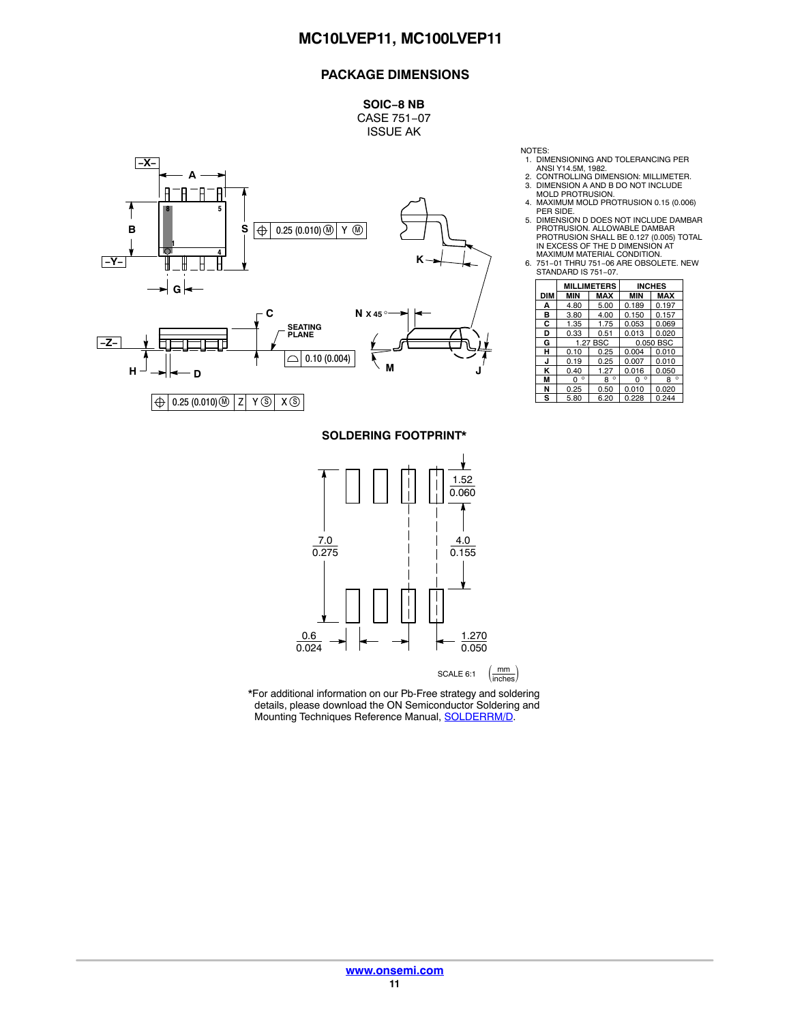# **PACKAGE DIMENSIONS**

**SOIC−8 NB** CASE 751−07 ISSUE AK



NOTES:

- 1. DIMENSIONING AND TOLERANCING PER ANSI Y14.5M, 1982.
	-
- 
- 2. CONTROLLING DIMENSION: MILLIMETER. 3. DIMENSION A AND B DO NOT INCLUDE MOLD PROTRUSION. 4. MAXIMUM MOLD PROTRUSION 0.15 (0.006)
- PER SIDE. 5. DIMENSION D DOES NOT INCLUDE DAMBAR PROTRUSION. ALLOWABLE DAMBAR PROTRUSION SHALL BE 0.127 (0.005) TOTAL IN EXCESS OF THE D DIMENSION AT
- MAXIMUM MATERIAL CONDITION. 6. 751−01 THRU 751−06 ARE OBSOLETE. NEW STANDARD IS 751−07.

|     | <b>MILLIMETERS</b> |              | <b>INCHES</b> |              |
|-----|--------------------|--------------|---------------|--------------|
| DIM | MIN                | MAX          | <b>MIN</b>    | <b>MAX</b>   |
| А   | 4.80               | 5.00         | 0.189         | 0.197        |
| в   | 3.80               | 4.00         | 0.150         | 0.157        |
| C   | 1.35               | 1.75         | 0.053         | 0.069        |
| D   | 0.33               | 0.51         | 0.013         | 0.020        |
| G   | 1.27 BSC           |              | 0.050 BSC     |              |
| н   | 0.10               | 0.25         | 0.004         | 0.010        |
| J   | 0.19               | 0.25         | 0.007         | 0.010        |
| κ   | 0.40               | 1.27         | 0.016         | 0.050        |
| М   | $\circ$<br>o       | $\circ$<br>R | $\circ$<br>O  | $\circ$<br>8 |
| N   | 0.25               | 0.50         | 0.010         | 0.020        |
| s   | 5.80               | 6.20         | 0.228         | 0.244        |

### **SOLDERING FOOTPRINT\***



\*For additional information on our Pb-Free strategy and soldering details, please download the ON Semiconductor Soldering and Mounting Techniques Reference Manual, **SOLDERRM/D.**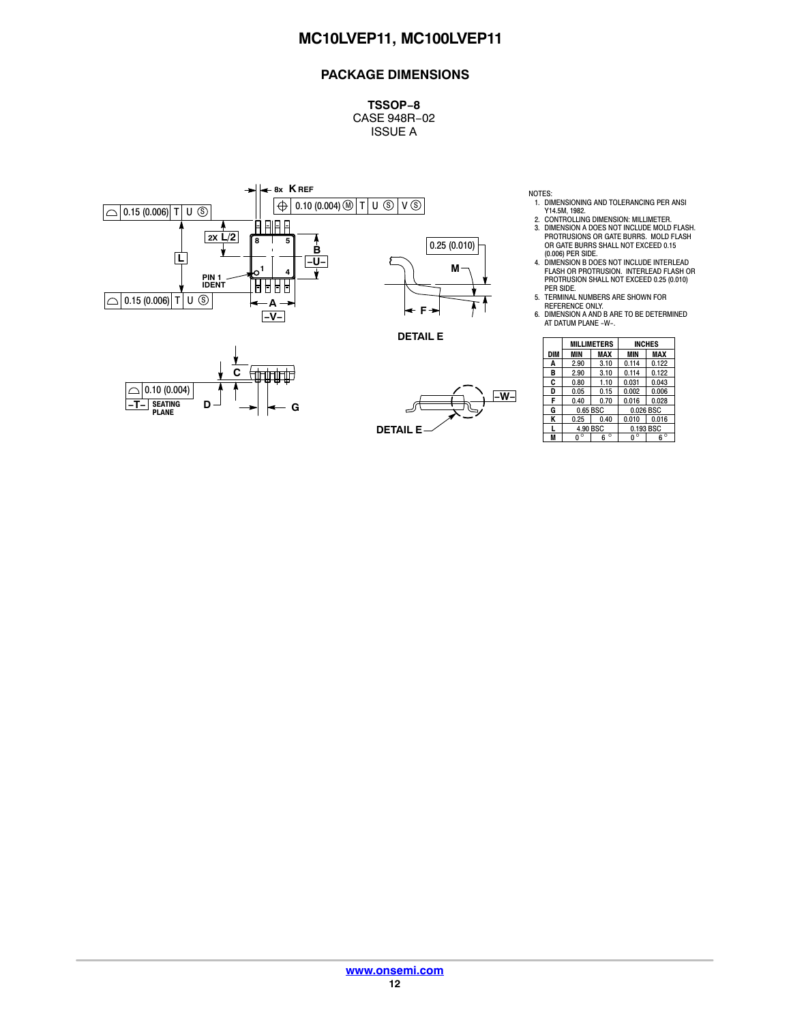# **PACKAGE DIMENSIONS**

**TSSOP−8** CASE 948R−02 ISSUE A

**DETAIL E**



- NOTES: 1. DIMENSIONING AND TOLERANCING PER ANSI
- Y14.5M, 1982. 2. CONTROLLING DIMENSION: MILLIMETER. 3. DIMENSION A DOES NOT INCLUDE MOLD FLASH. PROTRUSIONS OR GATE BURRS. MOLD FLASH OR GATE BURRS SHALL NOT EXCEED 0.15 (0.006) PER SIDE.
- 4. DIMENSION B DOES NOT INCLUDE INTERLEAD FLASH OR PROTRUSION. INTERLEAD FLASH OR PROTRUSION SHALL NOT EXCEED 0.25 (0.010)
- PER SIDE. 5. TERMINAL NUMBERS ARE SHOWN FOR
- REFERENCE ONLY. 6. DIMENSION A AND B ARE TO BE DETERMINED AT DATUM PLANE -W-.

|            | <b>MILLIMETERS</b> |              | <b>INCHES</b> |              |
|------------|--------------------|--------------|---------------|--------------|
| <b>DIM</b> | MIN                | MAX          | MIN           | MAX          |
| A          | 2.90               | 3.10         | 0.114         | 0.122        |
| в          | 2.90               | 3.10         | 0.114         | 0.122        |
| C          | 0.80               | 1.10         | 0.031         | 0.043        |
| D          | 0.05               | 0.15         | 0.002         | 0.006        |
| F          | 0.40               | 0.70         | 0.016         | 0.028        |
| G          | 0.65 BSC           |              | 0.026 BSC     |              |
| Κ          | 0.25               | 0.40         | 0.010         | 0.016        |
| L          | 4.90 BSC           |              | 0.193 BSC     |              |
| M          | о                  | $\circ$<br>6 | $\circ$<br>U  | $\circ$<br>ĥ |